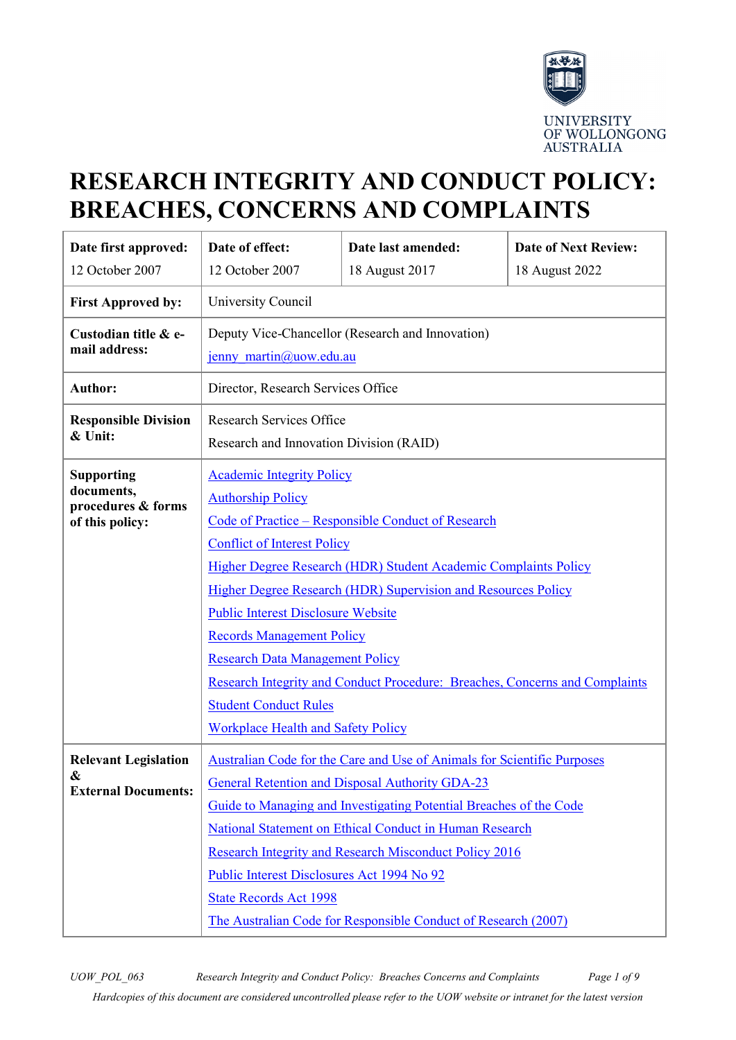

# **RESEARCH INTEGRITY AND CONDUCT POLICY: BREACHES, CONCERNS AND COMPLAINTS**

| Date first approved:                                                     | Date of effect:                                                                                                                                                                                                                                                                                                                                                                                                                                                                                                                                                                            | Date last amended: | <b>Date of Next Review:</b> |
|--------------------------------------------------------------------------|--------------------------------------------------------------------------------------------------------------------------------------------------------------------------------------------------------------------------------------------------------------------------------------------------------------------------------------------------------------------------------------------------------------------------------------------------------------------------------------------------------------------------------------------------------------------------------------------|--------------------|-----------------------------|
| 12 October 2007                                                          | 12 October 2007                                                                                                                                                                                                                                                                                                                                                                                                                                                                                                                                                                            | 18 August 2017     | 18 August 2022              |
| <b>First Approved by:</b>                                                | University Council                                                                                                                                                                                                                                                                                                                                                                                                                                                                                                                                                                         |                    |                             |
| Custodian title & e-<br>mail address:                                    | Deputy Vice-Chancellor (Research and Innovation)<br>jenny martin@uow.edu.au                                                                                                                                                                                                                                                                                                                                                                                                                                                                                                                |                    |                             |
| <b>Author:</b>                                                           | Director, Research Services Office                                                                                                                                                                                                                                                                                                                                                                                                                                                                                                                                                         |                    |                             |
| <b>Responsible Division</b><br>& Unit:                                   | <b>Research Services Office</b><br>Research and Innovation Division (RAID)                                                                                                                                                                                                                                                                                                                                                                                                                                                                                                                 |                    |                             |
| <b>Supporting</b><br>documents,<br>procedures & forms<br>of this policy: | <b>Academic Integrity Policy</b><br><b>Authorship Policy</b><br>Code of Practice – Responsible Conduct of Research<br><b>Conflict of Interest Policy</b><br>Higher Degree Research (HDR) Student Academic Complaints Policy<br>Higher Degree Research (HDR) Supervision and Resources Policy<br><b>Public Interest Disclosure Website</b><br><b>Records Management Policy</b><br><b>Research Data Management Policy</b><br><b>Research Integrity and Conduct Procedure: Breaches, Concerns and Complaints</b><br><b>Student Conduct Rules</b><br><b>Workplace Health and Safety Policy</b> |                    |                             |
| <b>Relevant Legislation</b><br>&<br><b>External Documents:</b>           | <b>Australian Code for the Care and Use of Animals for Scientific Purposes</b><br>General Retention and Disposal Authority GDA-23<br>Guide to Managing and Investigating Potential Breaches of the Code<br>National Statement on Ethical Conduct in Human Research<br><b>Research Integrity and Research Misconduct Policy 2016</b><br>Public Interest Disclosures Act 1994 No 92<br><b>State Records Act 1998</b><br>The Australian Code for Responsible Conduct of Research (2007)                                                                                                       |                    |                             |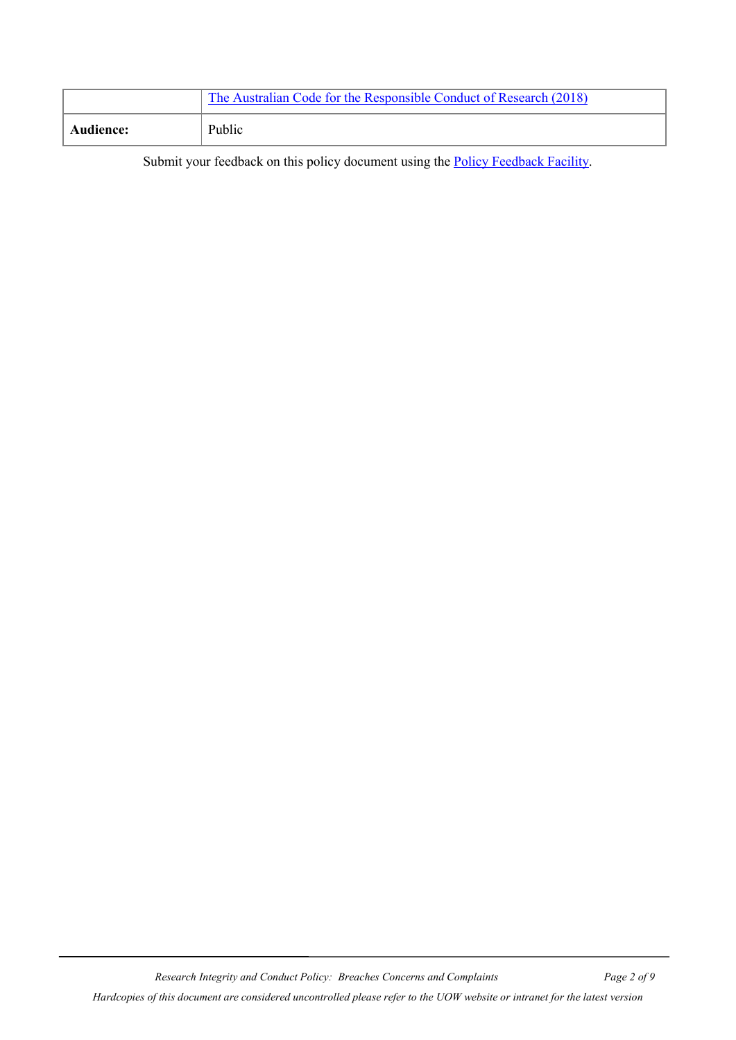|                  | The Australian Code for the Responsible Conduct of Research (2018) |
|------------------|--------------------------------------------------------------------|
| <b>Audience:</b> | Public                                                             |

Submit your feedback on this policy document using the **Policy Feedback Facility**.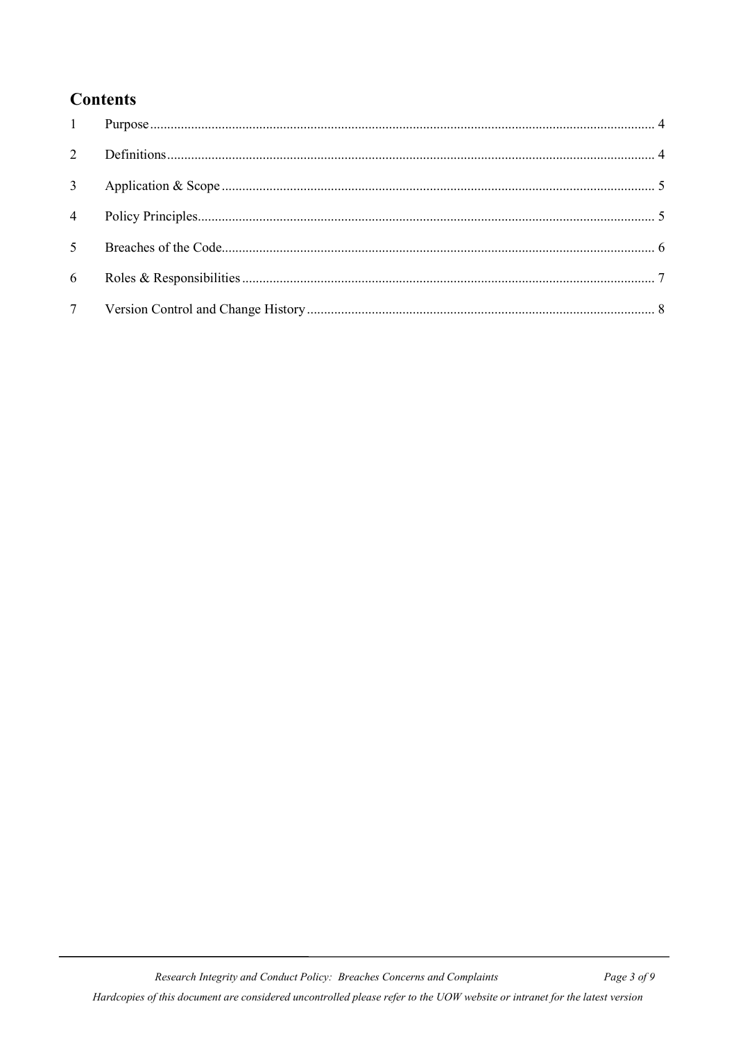# **Contents**

| $1 \qquad \qquad$ |  |
|-------------------|--|
| 2                 |  |
| 3 <sup>1</sup>    |  |
| $\overline{4}$    |  |
| 5 <sup>5</sup>    |  |
| 6                 |  |
|                   |  |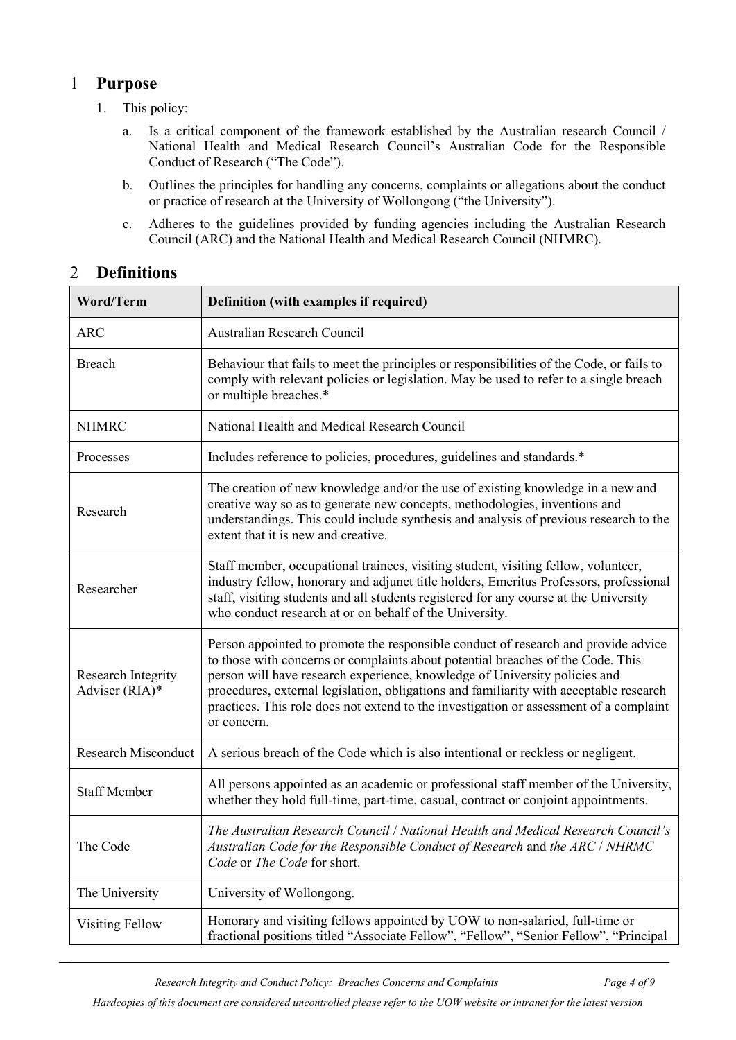# <span id="page-3-0"></span>1 **Purpose**

- 1. This policy:
	- a. Is a critical component of the framework established by the Australian research Council / National Health and Medical Research Council's Australian Code for the Responsible Conduct of Research ("The Code").
	- b. Outlines the principles for handling any concerns, complaints or allegations about the conduct or practice of research at the University of Wollongong ("the University").
	- c. Adheres to the guidelines provided by funding agencies including the Australian Research Council (ARC) and the National Health and Medical Research Council (NHMRC).

# <span id="page-3-1"></span>2 **Definitions**

| Word/Term                            | Definition (with examples if required)                                                                                                                                                                                                                                                                                                                                                                                                                 |  |  |
|--------------------------------------|--------------------------------------------------------------------------------------------------------------------------------------------------------------------------------------------------------------------------------------------------------------------------------------------------------------------------------------------------------------------------------------------------------------------------------------------------------|--|--|
| <b>ARC</b>                           | Australian Research Council                                                                                                                                                                                                                                                                                                                                                                                                                            |  |  |
| Breach                               | Behaviour that fails to meet the principles or responsibilities of the Code, or fails to<br>comply with relevant policies or legislation. May be used to refer to a single breach<br>or multiple breaches.*                                                                                                                                                                                                                                            |  |  |
| <b>NHMRC</b>                         | National Health and Medical Research Council                                                                                                                                                                                                                                                                                                                                                                                                           |  |  |
| Processes                            | Includes reference to policies, procedures, guidelines and standards.*                                                                                                                                                                                                                                                                                                                                                                                 |  |  |
| Research                             | The creation of new knowledge and/or the use of existing knowledge in a new and<br>creative way so as to generate new concepts, methodologies, inventions and<br>understandings. This could include synthesis and analysis of previous research to the<br>extent that it is new and creative.                                                                                                                                                          |  |  |
| Researcher                           | Staff member, occupational trainees, visiting student, visiting fellow, volunteer,<br>industry fellow, honorary and adjunct title holders, Emeritus Professors, professional<br>staff, visiting students and all students registered for any course at the University<br>who conduct research at or on behalf of the University.                                                                                                                       |  |  |
| Research Integrity<br>Adviser (RIA)* | Person appointed to promote the responsible conduct of research and provide advice<br>to those with concerns or complaints about potential breaches of the Code. This<br>person will have research experience, knowledge of University policies and<br>procedures, external legislation, obligations and familiarity with acceptable research<br>practices. This role does not extend to the investigation or assessment of a complaint<br>or concern. |  |  |
| <b>Research Misconduct</b>           | A serious breach of the Code which is also intentional or reckless or negligent.                                                                                                                                                                                                                                                                                                                                                                       |  |  |
| <b>Staff Member</b>                  | All persons appointed as an academic or professional staff member of the University,<br>whether they hold full-time, part-time, casual, contract or conjoint appointments.                                                                                                                                                                                                                                                                             |  |  |
| The Code                             | The Australian Research Council / National Health and Medical Research Council's<br>Australian Code for the Responsible Conduct of Research and the ARC / NHRMC<br>Code or The Code for short.                                                                                                                                                                                                                                                         |  |  |
| The University                       | University of Wollongong.                                                                                                                                                                                                                                                                                                                                                                                                                              |  |  |
| Visiting Fellow                      | Honorary and visiting fellows appointed by UOW to non-salaried, full-time or<br>fractional positions titled "Associate Fellow", "Fellow", "Senior Fellow", "Principal                                                                                                                                                                                                                                                                                  |  |  |

*Research Integrity and Conduct Policy: Breaches Concerns and Complaints Page 4 of 9*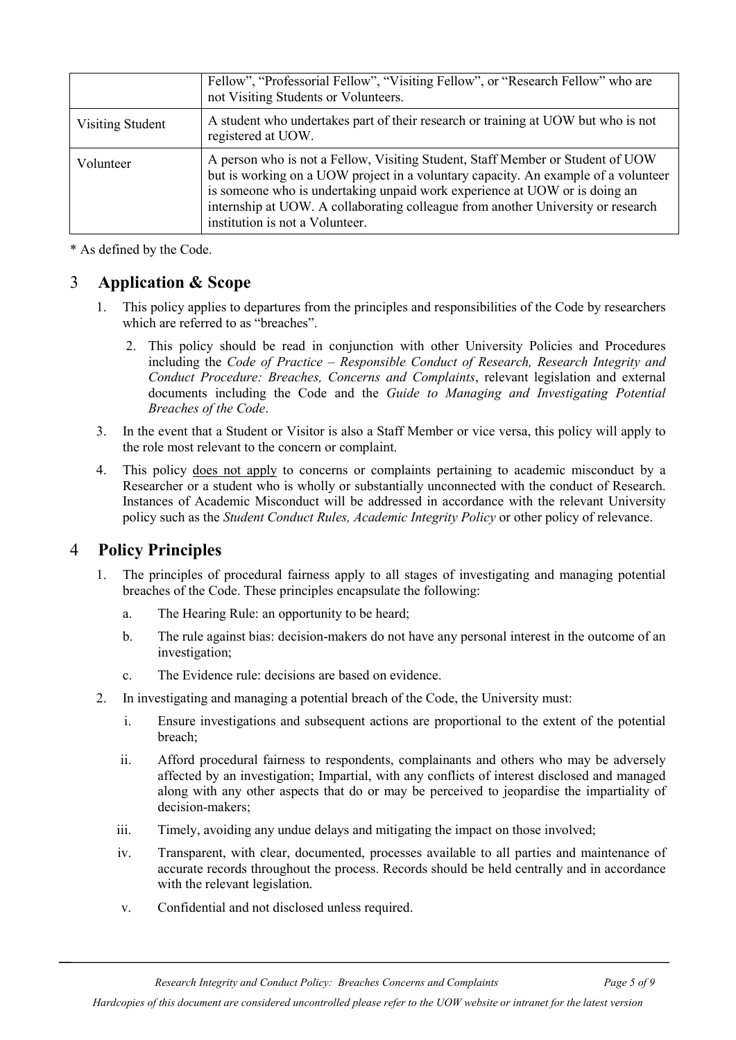|                  | Fellow", "Professorial Fellow", "Visiting Fellow", or "Research Fellow" who are<br>not Visiting Students or Volunteers.                                                                                                                                                                                                                                                   |
|------------------|---------------------------------------------------------------------------------------------------------------------------------------------------------------------------------------------------------------------------------------------------------------------------------------------------------------------------------------------------------------------------|
| Visiting Student | A student who undertakes part of their research or training at UOW but who is not<br>registered at UOW.                                                                                                                                                                                                                                                                   |
| Volunteer        | A person who is not a Fellow, Visiting Student, Staff Member or Student of UOW<br>but is working on a UOW project in a voluntary capacity. An example of a volunteer<br>is someone who is undertaking unpaid work experience at UOW or is doing an<br>internship at UOW. A collaborating colleague from another University or research<br>institution is not a Volunteer. |

\* As defined by the Code.

## <span id="page-4-0"></span>3 **Application & Scope**

- 1. This policy applies to departures from the principles and responsibilities of the Code by researchers which are referred to as "breaches".
	- 2. This policy should be read in conjunction with other University Policies and Procedures including the *Code of Practice – Responsible Conduct of Research, Research Integrity and Conduct Procedure: Breaches, Concerns and Complaints*, relevant legislation and external documents including the Code and the *Guide to Managing and Investigating Potential Breaches of the Code*.
- 3. In the event that a Student or Visitor is also a Staff Member or vice versa, this policy will apply to the role most relevant to the concern or complaint.
- 4. This policy does not apply to concerns or complaints pertaining to academic misconduct by a Researcher or a student who is wholly or substantially unconnected with the conduct of Research. Instances of Academic Misconduct will be addressed in accordance with the relevant University policy such as the *Student Conduct Rules, Academic Integrity Policy* or other policy of relevance.

## <span id="page-4-1"></span>4 **Policy Principles**

- 1. The principles of procedural fairness apply to all stages of investigating and managing potential breaches of the Code. These principles encapsulate the following:
	- a. The Hearing Rule: an opportunity to be heard;
	- b. The rule against bias: decision-makers do not have any personal interest in the outcome of an investigation;
	- c. The Evidence rule: decisions are based on evidence.
- 2. In investigating and managing a potential breach of the Code, the University must:
	- i. Ensure investigations and subsequent actions are proportional to the extent of the potential breach;
	- ii. Afford procedural fairness to respondents, complainants and others who may be adversely affected by an investigation; Impartial, with any conflicts of interest disclosed and managed along with any other aspects that do or may be perceived to jeopardise the impartiality of decision-makers;
	- iii. Timely, avoiding any undue delays and mitigating the impact on those involved;
	- iv. Transparent, with clear, documented, processes available to all parties and maintenance of accurate records throughout the process. Records should be held centrally and in accordance with the relevant legislation.
	- v. Confidential and not disclosed unless required.

*Research Integrity and Conduct Policy: Breaches Concerns and Complaints Page 5 of 9*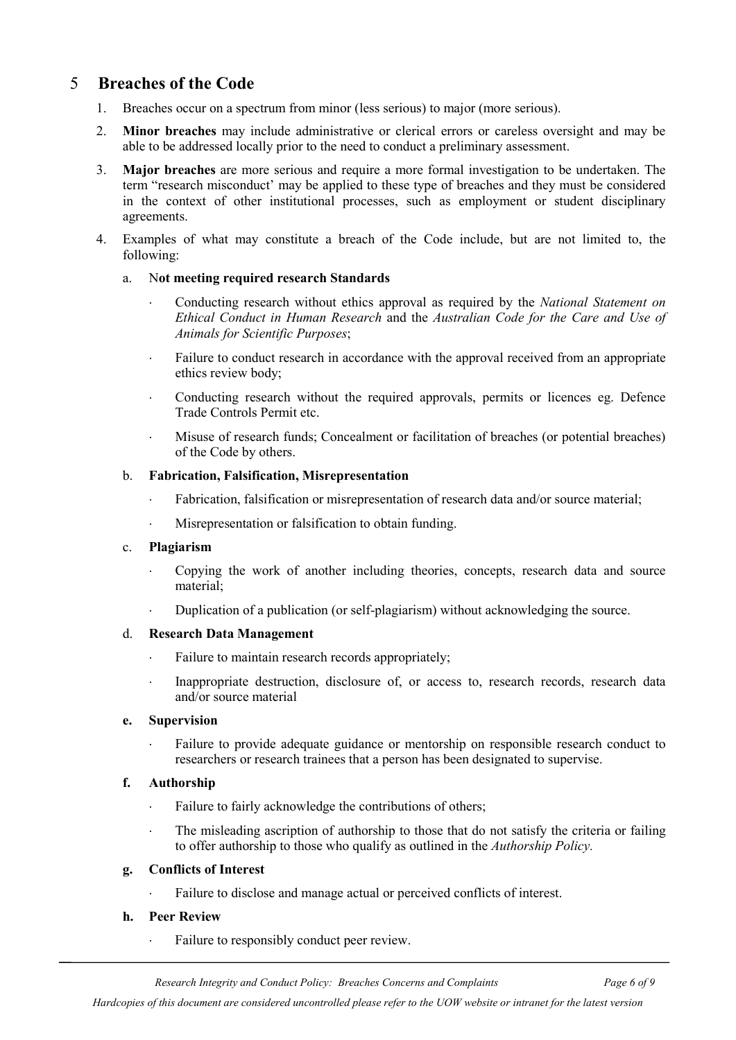# <span id="page-5-0"></span>5 **Breaches of the Code**

- 1. Breaches occur on a spectrum from minor (less serious) to major (more serious).
- 2. **Minor breaches** may include administrative or clerical errors or careless oversight and may be able to be addressed locally prior to the need to conduct a preliminary assessment.
- 3. **Major breaches** are more serious and require a more formal investigation to be undertaken. The term "research misconduct' may be applied to these type of breaches and they must be considered in the context of other institutional processes, such as employment or student disciplinary agreements.
- 4. Examples of what may constitute a breach of the Code include, but are not limited to, the following:

#### a. N**ot meeting required research Standards**

- ⋅ Conducting research without ethics approval as required by the *National Statement on Ethical Conduct in Human Research* and the *Australian Code for the Care and Use of Animals for Scientific Purposes*;
- Failure to conduct research in accordance with the approval received from an appropriate ethics review body;
- ⋅ Conducting research without the required approvals, permits or licences eg. Defence Trade Controls Permit etc.
- ⋅ Misuse of research funds; Concealment or facilitation of breaches (or potential breaches) of the Code by others.

#### b. **Fabrication, Falsification, Misrepresentation**

- Fabrication, falsification or misrepresentation of research data and/or source material;
- ⋅ Misrepresentation or falsification to obtain funding.

#### c. **Plagiarism**

- Copying the work of another including theories, concepts, research data and source material;
- Duplication of a publication (or self-plagiarism) without acknowledging the source.

#### d. **Research Data Management**

- ⋅ Failure to maintain research records appropriately;
- ⋅ Inappropriate destruction, disclosure of, or access to, research records, research data and/or source material

#### **e. Supervision**

Failure to provide adequate guidance or mentorship on responsible research conduct to researchers or research trainees that a person has been designated to supervise.

#### **f. Authorship**

- ⋅ Failure to fairly acknowledge the contributions of others;
- ⋅ The misleading ascription of authorship to those that do not satisfy the criteria or failing to offer authorship to those who qualify as outlined in the *Authorship Policy.*

#### **g. Conflicts of Interest**

Failure to disclose and manage actual or perceived conflicts of interest.

#### **h. Peer Review**

Failure to responsibly conduct peer review.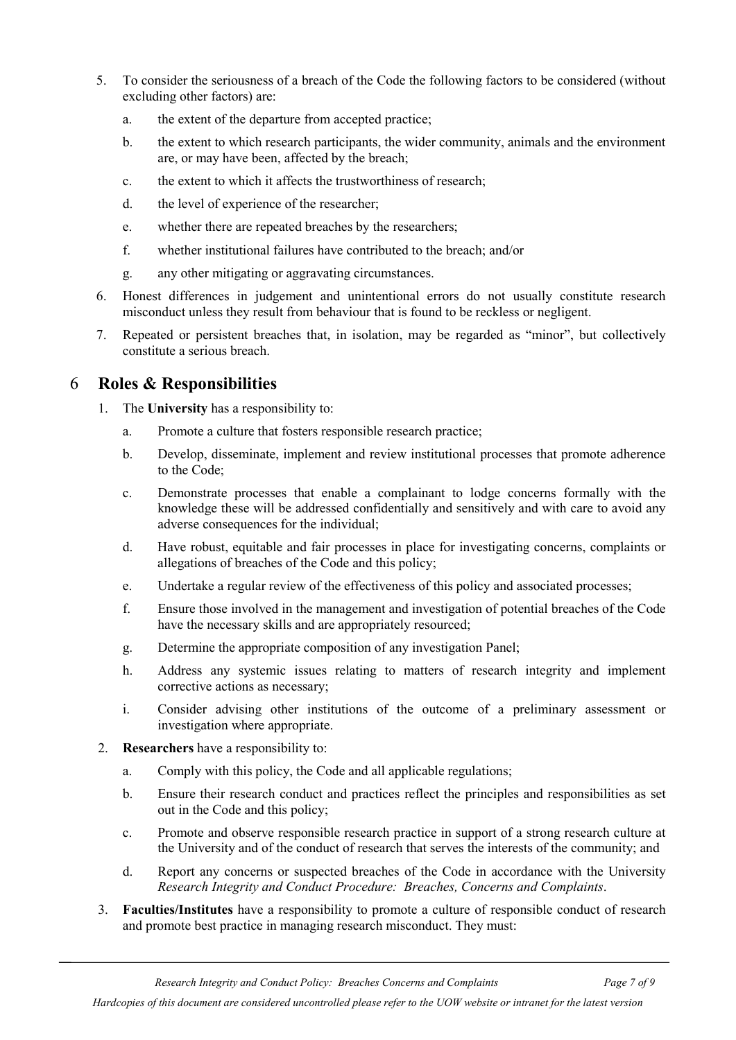- 5. To consider the seriousness of a breach of the Code the following factors to be considered (without excluding other factors) are:
	- a. the extent of the departure from accepted practice;
	- b. the extent to which research participants, the wider community, animals and the environment are, or may have been, affected by the breach;
	- c. the extent to which it affects the trustworthiness of research;
	- d. the level of experience of the researcher;
	- e. whether there are repeated breaches by the researchers;
	- f. whether institutional failures have contributed to the breach; and/or
	- g. any other mitigating or aggravating circumstances.
- 6. Honest differences in judgement and unintentional errors do not usually constitute research misconduct unless they result from behaviour that is found to be reckless or negligent.
- 7. Repeated or persistent breaches that, in isolation, may be regarded as "minor", but collectively constitute a serious breach.

# <span id="page-6-0"></span>6 **Roles & Responsibilities**

- 1. The **University** has a responsibility to:
	- a. Promote a culture that fosters responsible research practice;
	- b. Develop, disseminate, implement and review institutional processes that promote adherence to the Code;
	- c. Demonstrate processes that enable a complainant to lodge concerns formally with the knowledge these will be addressed confidentially and sensitively and with care to avoid any adverse consequences for the individual;
	- d. Have robust, equitable and fair processes in place for investigating concerns, complaints or allegations of breaches of the Code and this policy;
	- e. Undertake a regular review of the effectiveness of this policy and associated processes;
	- f. Ensure those involved in the management and investigation of potential breaches of the Code have the necessary skills and are appropriately resourced;
	- g. Determine the appropriate composition of any investigation Panel;
	- h. Address any systemic issues relating to matters of research integrity and implement corrective actions as necessary;
	- i. Consider advising other institutions of the outcome of a preliminary assessment or investigation where appropriate.
- 2. **Researchers** have a responsibility to:
	- a. Comply with this policy, the Code and all applicable regulations;
	- b. Ensure their research conduct and practices reflect the principles and responsibilities as set out in the Code and this policy;
	- c. Promote and observe responsible research practice in support of a strong research culture at the University and of the conduct of research that serves the interests of the community; and
	- d. Report any concerns or suspected breaches of the Code in accordance with the University *Research Integrity and Conduct Procedure: Breaches, Concerns and Complaints*.
- 3. **Faculties/Institutes** have a responsibility to promote a culture of responsible conduct of research and promote best practice in managing research misconduct. They must:

*Hardcopies of this document are considered uncontrolled please refer to the UOW website or intranet for the latest version*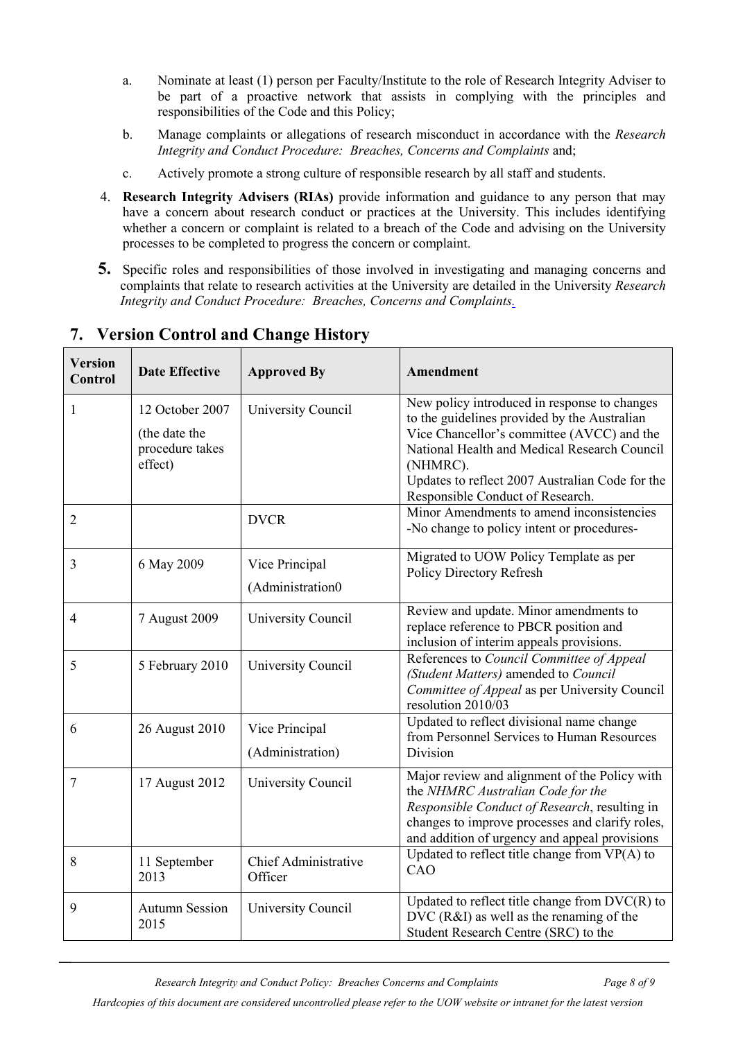- a. Nominate at least (1) person per Faculty/Institute to the role of Research Integrity Adviser to be part of a proactive network that assists in complying with the principles and responsibilities of the Code and this Policy;
- b. Manage complaints or allegations of research misconduct in accordance with the *Research Integrity and Conduct Procedure: Breaches, Concerns and Complaints* and;
- <span id="page-7-0"></span>c. Actively promote a strong culture of responsible research by all staff and students.
- 4. **Research Integrity Advisers (RIAs)** provide information and guidance to any person that may have a concern about research conduct or practices at the University. This includes identifying whether a concern or complaint is related to a breach of the Code and advising on the University processes to be completed to progress the concern or complaint.
- **5.** Specific roles and responsibilities of those involved in investigating and managing concerns and complaints that relate to research activities at the University are detailed in the University *Research Integrity and Conduct Procedure: Breaches, Concerns and Complaints.*

| <b>Version</b><br>Control | <b>Date Effective</b>            | <b>Approved By</b>                 | Amendment                                                                                                                                                                                                                               |
|---------------------------|----------------------------------|------------------------------------|-----------------------------------------------------------------------------------------------------------------------------------------------------------------------------------------------------------------------------------------|
| 1                         | 12 October 2007<br>(the date the | University Council                 | New policy introduced in response to changes<br>to the guidelines provided by the Australian<br>Vice Chancellor's committee (AVCC) and the                                                                                              |
|                           | procedure takes<br>effect)       |                                    | National Health and Medical Research Council<br>(NHMRC).<br>Updates to reflect 2007 Australian Code for the<br>Responsible Conduct of Research.                                                                                         |
| 2                         |                                  | <b>DVCR</b>                        | Minor Amendments to amend inconsistencies<br>-No change to policy intent or procedures-                                                                                                                                                 |
| 3                         | 6 May 2009                       | Vice Principal<br>(Administration0 | Migrated to UOW Policy Template as per<br>Policy Directory Refresh                                                                                                                                                                      |
| 4                         | 7 August 2009                    | University Council                 | Review and update. Minor amendments to<br>replace reference to PBCR position and<br>inclusion of interim appeals provisions.                                                                                                            |
| 5                         | 5 February 2010                  | University Council                 | References to Council Committee of Appeal<br>(Student Matters) amended to Council<br>Committee of Appeal as per University Council<br>resolution 2010/03                                                                                |
| 6                         | 26 August 2010                   | Vice Principal<br>(Administration) | Updated to reflect divisional name change<br>from Personnel Services to Human Resources<br>Division                                                                                                                                     |
| 7                         | 17 August 2012                   | University Council                 | Major review and alignment of the Policy with<br>the NHMRC Australian Code for the<br>Responsible Conduct of Research, resulting in<br>changes to improve processes and clarify roles,<br>and addition of urgency and appeal provisions |
| 8                         | 11 September<br>2013             | Chief Administrative<br>Officer    | Updated to reflect title change from $VP(A)$ to<br>CAO                                                                                                                                                                                  |
| 9                         | <b>Autumn Session</b><br>2015    | University Council                 | Updated to reflect title change from $DVC(R)$ to<br>DVC (R&I) as well as the renaming of the<br>Student Research Centre (SRC) to the                                                                                                    |

# **7. Version Control and Change History**

*Research Integrity and Conduct Policy: Breaches Concerns and Complaints Page 8 of 9*